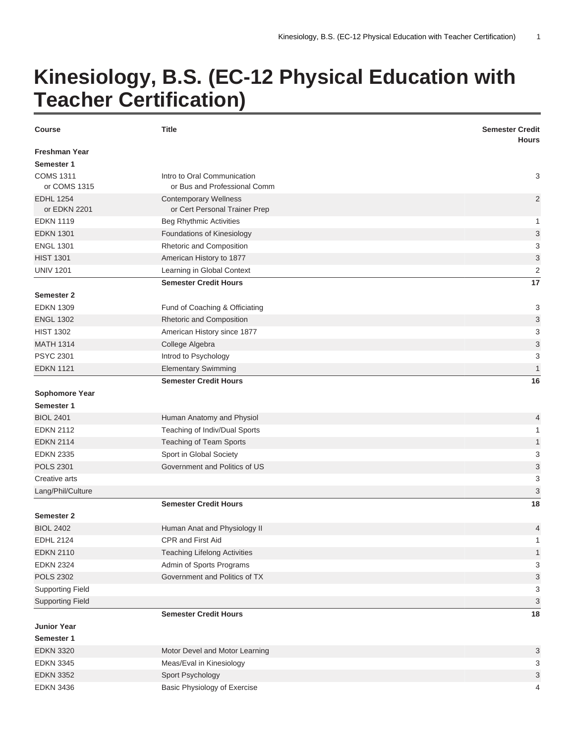## **Kinesiology, B.S. (EC-12 Physical Education with Teacher Certification)**

| <b>Course</b>                    | <b>Title</b>                                                  | <b>Semester Credit</b><br><b>Hours</b> |
|----------------------------------|---------------------------------------------------------------|----------------------------------------|
| <b>Freshman Year</b>             |                                                               |                                        |
| Semester 1                       |                                                               |                                        |
| <b>COMS 1311</b><br>or COMS 1315 | Intro to Oral Communication<br>or Bus and Professional Comm   | 3                                      |
| <b>EDHL 1254</b><br>or EDKN 2201 | <b>Contemporary Wellness</b><br>or Cert Personal Trainer Prep | $\overline{2}$                         |
| <b>EDKN 1119</b>                 | <b>Beg Rhythmic Activities</b>                                | 1                                      |
| <b>EDKN 1301</b>                 | Foundations of Kinesiology                                    | $\ensuremath{\mathsf{3}}$              |
| <b>ENGL 1301</b>                 | Rhetoric and Composition                                      | 3                                      |
| <b>HIST 1301</b>                 | American History to 1877                                      | 3                                      |
| <b>UNIV 1201</b>                 | Learning in Global Context                                    | 2                                      |
|                                  | <b>Semester Credit Hours</b>                                  | 17                                     |
| <b>Semester 2</b>                |                                                               |                                        |
| <b>EDKN 1309</b>                 | Fund of Coaching & Officiating                                | 3                                      |
| <b>ENGL 1302</b>                 | Rhetoric and Composition                                      | 3                                      |
| <b>HIST 1302</b>                 | American History since 1877                                   | 3                                      |
| <b>MATH 1314</b>                 | College Algebra                                               | $\ensuremath{\mathsf{3}}$              |
| <b>PSYC 2301</b>                 | Introd to Psychology                                          | 3                                      |
| <b>EDKN 1121</b>                 | <b>Elementary Swimming</b>                                    | 1                                      |
|                                  | <b>Semester Credit Hours</b>                                  | 16                                     |
| <b>Sophomore Year</b>            |                                                               |                                        |
| Semester 1                       |                                                               |                                        |
| <b>BIOL 2401</b>                 | Human Anatomy and Physiol                                     | 4                                      |
| <b>EDKN 2112</b>                 | Teaching of Indiv/Dual Sports                                 | 1                                      |
| <b>EDKN 2114</b>                 | Teaching of Team Sports                                       | $\mathbf{1}$                           |
| <b>EDKN 2335</b>                 | Sport in Global Society                                       | 3                                      |
| <b>POLS 2301</b>                 | Government and Politics of US                                 | 3                                      |
| Creative arts                    |                                                               | 3                                      |
| Lang/Phil/Culture                |                                                               | 3                                      |
|                                  | <b>Semester Credit Hours</b>                                  | 18                                     |
| <b>Semester 2</b>                |                                                               |                                        |
| <b>BIOL 2402</b>                 | Human Anat and Physiology II                                  | 4                                      |
| <b>EDHL 2124</b>                 | CPR and First Aid                                             | $\overline{A}$                         |
| <b>EDKN 2110</b>                 | <b>Teaching Lifelong Activities</b>                           | 1                                      |
| <b>EDKN 2324</b>                 | Admin of Sports Programs                                      | 3                                      |
| <b>POLS 2302</b>                 | Government and Politics of TX                                 | $\ensuremath{\mathsf{3}}$              |
| <b>Supporting Field</b>          |                                                               | 3                                      |
| <b>Supporting Field</b>          |                                                               | 3                                      |
|                                  | <b>Semester Credit Hours</b>                                  | 18                                     |
| <b>Junior Year</b>               |                                                               |                                        |
| Semester 1                       |                                                               |                                        |
| <b>EDKN 3320</b>                 | Motor Devel and Motor Learning                                | 3                                      |
| <b>EDKN 3345</b>                 | Meas/Eval in Kinesiology                                      | 3                                      |
| <b>EDKN 3352</b>                 | Sport Psychology                                              | 3                                      |
| <b>EDKN 3436</b>                 | Basic Physiology of Exercise                                  | 4                                      |